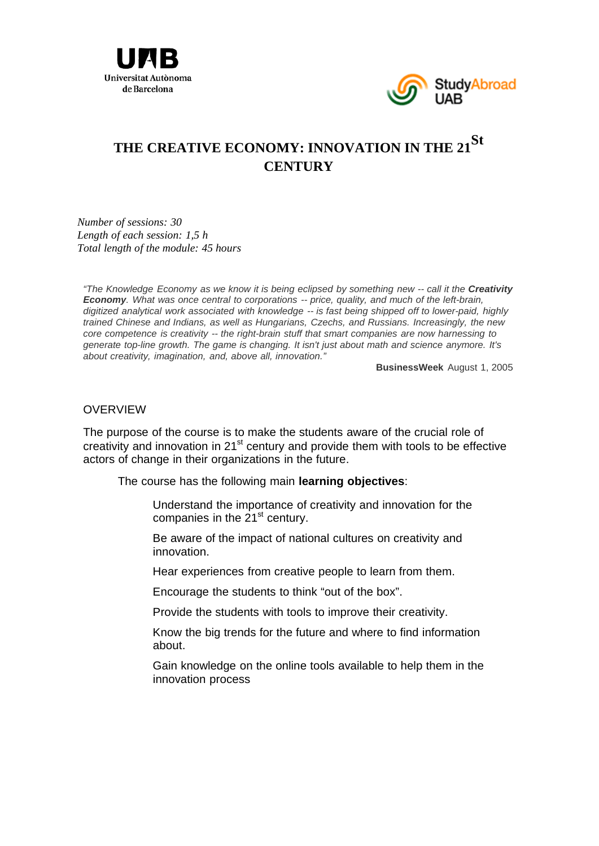



# **THE CREATIVE ECONOMY: INNOVATION IN THE 21St CENTURY**

*Number of sessions: 30 Length of each session: 1,5 h Total length of the module: 45 hours* 

*"The Knowledge Economy as we know it is being eclipsed by something new -- call it the Creativity Economy. What was once central to corporations -- price, quality, and much of the left-brain, digitized analytical work associated with knowledge -- is fast being shipped off to lower-paid, highly trained Chinese and Indians, as well as Hungarians, Czechs, and Russians. Increasingly, the new core competence is creativity -- the right-brain stuff that smart companies are now harnessing to generate top-line growth. The game is changing. It isn't just about math and science anymore. It's about creativity, imagination, and, above all, innovation."*

**BusinessWeek** August 1, 2005

#### **OVERVIEW**

The purpose of the course is to make the students aware of the crucial role of creativity and innovation in  $21<sup>st</sup>$  century and provide them with tools to be effective actors of change in their organizations in the future.

The course has the following main **learning objectives**:

- Understand the importance of creativity and innovation for the companies in the  $21<sup>st</sup>$  century.
- Be aware of the impact of national cultures on creativity and innovation.
- Hear experiences from creative people to learn from them.
- Encourage the students to think "out of the box".
- Provide the students with tools to improve their creativity.
- Know the big trends for the future and where to find information about.
- Gain knowledge on the online tools available to help them in the innovation process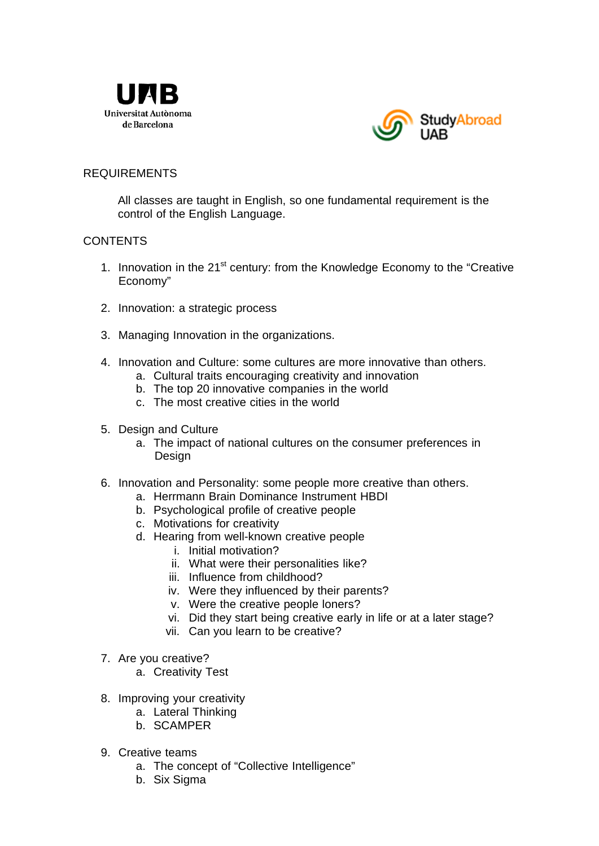



### REQUIREMENTS

All classes are taught in English, so one fundamental requirement is the control of the English Language.

#### **CONTENTS**

- 1. Innovation in the 21<sup>st</sup> century: from the Knowledge Economy to the "Creative Economy"
- 2. Innovation: a strategic process
- 3. Managing Innovation in the organizations.
- 4. Innovation and Culture: some cultures are more innovative than others.
	- a. Cultural traits encouraging creativity and innovation
	- b. The top 20 innovative companies in the world
	- c. The most creative cities in the world
- 5. Design and Culture
	- a. The impact of national cultures on the consumer preferences in Design
- 6. Innovation and Personality: some people more creative than others.
	- a. Herrmann Brain Dominance Instrument HBDI
	- b. Psychological profile of creative people
	- c. Motivations for creativity
	- d. Hearing from well-known creative people
		- i. Initial motivation?
		- ii. What were their personalities like?
		- iii. Influence from childhood?
		- iv. Were they influenced by their parents?
		- v. Were the creative people loners?
		- vi. Did they start being creative early in life or at a later stage?
		- vii. Can you learn to be creative?
- 7. Are you creative?
	- a. Creativity Test
- 8. Improving your creativity
	- a. Lateral Thinking
	- b. SCAMPER
- 9. Creative teams
	- a. The concept of "Collective Intelligence"
	- b. Six Sigma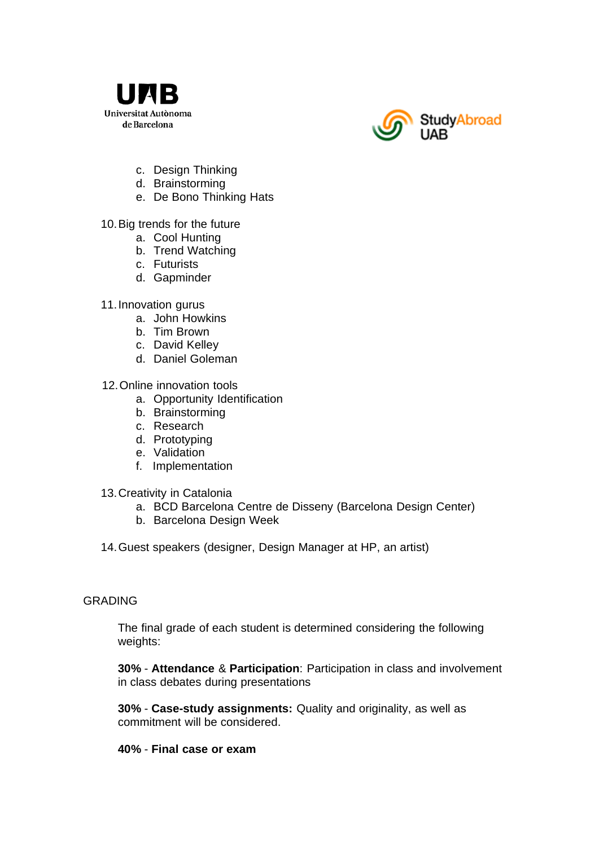



- c. Design Thinking
- d. Brainstorming
- e. De Bono Thinking Hats

## 10. Big trends for the future

- a. Cool Hunting
- b. Trend Watching
- c. Futurists
- d. Gapminder

## 11. Innovation gurus

- a. John Howkins
- b. Tim Brown
- c. David Kelley
- d. Daniel Goleman

## 12. Online innovation tools

- a. Opportunity Identification
- b. Brainstorming
- c. Research
- d. Prototyping
- e. Validation
- f. Implementation
- 13. Creativity in Catalonia
	- a. BCD Barcelona Centre de Disseny (Barcelona Design Center)
	- b. Barcelona Design Week
- 14. Guest speakers (designer, Design Manager at HP, an artist)

#### GRADING

The final grade of each student is determined considering the following weights:

**30%** - **Attendance** & **Participation**: Participation in class and involvement in class debates during presentations

**30%** - **Case-study assignments:** Quality and originality, as well as commitment will be considered.

#### **40%** - **Final case or exam**